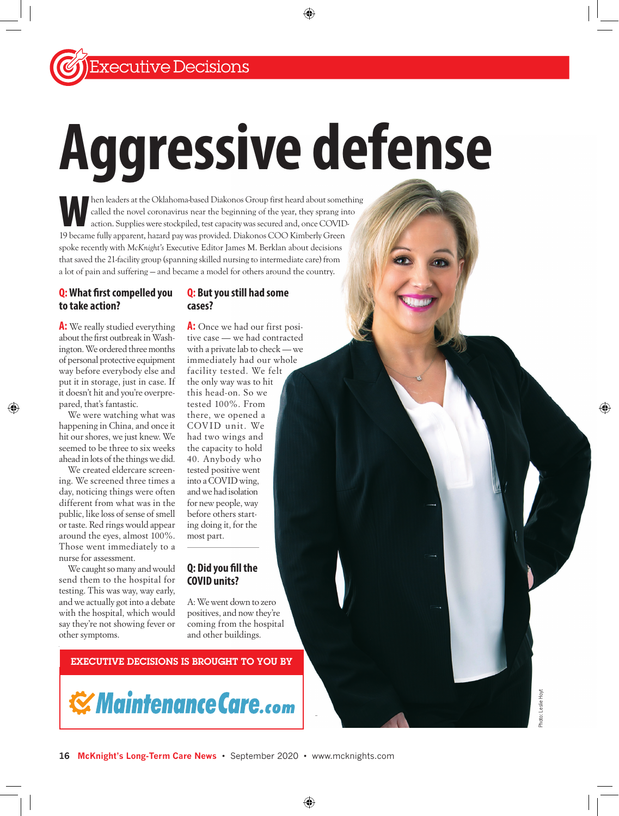# **Aggressive defense**

When leaders at the Oklahoma-based Diakonos Group first heard about something called the novel coronavirus near the beginning of the year, they sprang into action. Supplies were stockpiled, test capacity was secured and, once COVID-19 became fully apparent, hazard pay was provided. Diakonos COO Kimberly Green spoke recently with *McKnight's* Executive Editor James M. Berklan about decisions that saved the 21-facility group (spanning skilled nursing to intermediate care) from a lot of pain and suffering — and became a model for others around the country.

#### **Q: What first compelled you to take action?**

#### **Q: But you still had some cases?**

**A:** We really studied everything about the first outbreak in Washington. We ordered three months of personal protective equipment way before everybody else and put it in storage, just in case. If it doesn't hit and you're overprepared, that's fantastic.

We were watching what was happening in China, and once it hit our shores, we just knew. We seemed to be three to six weeks ahead in lots of the things we did.

We created eldercare screening. We screened three times a day, noticing things were often different from what was in the public, like loss of sense of smell or taste. Red rings would appear around the eyes, almost 100%. Those went immediately to a nurse for assessment.

We caught so many and would send them to the hospital for testing. This was way, way early, and we actually got into a debate with the hospital, which would say they're not showing fever or other symptoms.

**A:** Once we had our first positive case — we had contracted with a private lab to check — we immediately had our whole facility tested. We felt the only way was to hit this head-on. So we tested 100%. From there, we opened a COV ID unit. We had two wings and the capacity to hold 40. Anybody who tested positive went into a COVID wing, and we had isolation for new people, way before others starting doing it, for the most part.

# **Q: Did you fill the COVID units?**

A: We went down to zero positives, and now they're coming from the hospital and other buildings.

# EXECUTIVE DECISIONS IS BROUGHT TO YOU BY

**Waintenance Care.com**